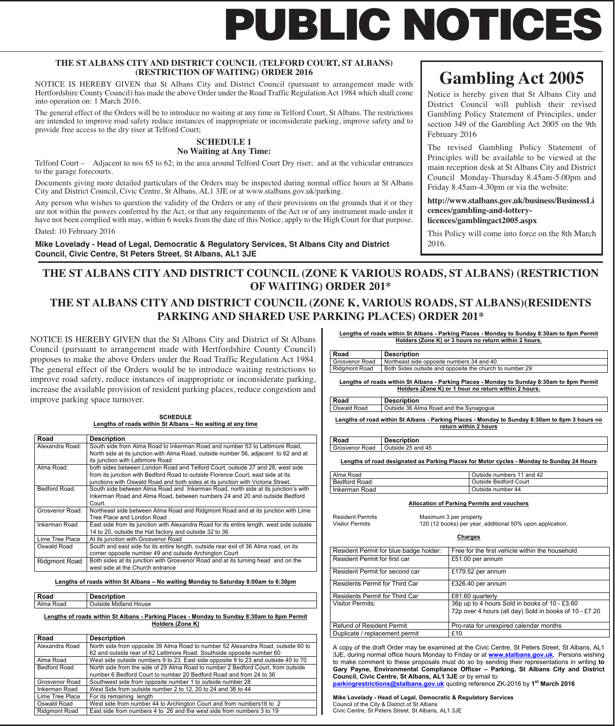# **PUBLIC NOTICES**

#### **THE ST ALBANS CITY AND DISTRICT COUNCIL (TELFORD COURT, ST ALBANS) (RESTRICTION OF WAITING) ORDER 2016**

NOTICE IS HEREBY GIVEN that St Albans City and District Council (pursuant to arrangement made with Hertfordshire County Council) has made the above Order under the Road Traffic Regulation Act 1984 which shall come into operation on: 1 March 2016.

The general effect of the Orders will be to introduce no waiting at any time in Telford Court, St Albans. The restrictions are intended to improve road safety reduce instances of inappropriate or inconsiderate parking, improve safety and to provide free access to the dry riser at Telford Court;

#### **SCHEDULE 1 No Waiting at Any Time:**

Telford Court – Adjacent to nos 65 to 62; in the area around Telford Court Dry riser; and at the vehicular entrances to the garage forecourts.

Documents giving more detailed particulars of the Orders may be inspected during normal office hours at St Albans City and District Council, Civic Centre, St Albans, AL1 3JE or at www.stalbans.gov.uk/parking.

Any person who wishes to question the validity of the Orders or any of their provisions on the grounds that it or they are not within the powers conferred by the Act, or that any requirements of the Act or of any instrument made under it have not been complied with may, within 6 weeks from the date of this Notice, apply to the High Court for that purpose.

Dated: 10 February 2016

**Mike Lovelady - Head of Legal, Democratic & Regulatory Services, St Albans City and District Council, Civic Centre, St Peters Street, St Albans, AL1 3JE**

# **Gambling Act 2005**

Notice is hereby given that St Albans City and District Council will publish their revised Gambling Policy Statement of Principles, under section 349 of the Gambling Act 2005 on the 9th February 2016

The revised Gambling Policy Statement of Principles will be available to be viewed at the main reception desk at St Albans City and District Council Monday-Thursday 8.45am-5.00pm and Friday 8.45am-4.30pm or via the website:

**http://www.stalbans.gov.uk/business/BusinessLi cences/gambling-and-lotterylicences/gamblingact2005.aspx**

This Policy will come into force on the 8th March 2016.

### **THE ST ALBANS CITY AND DISTRICT COUNCIL (ZONE K VARIOUS ROADS, ST ALBANS) (RESTRICTION OF WAITING) ORDER 201\***

## **THE ST ALBANS CITY AND DISTRICT COUNCIL (ZONE K, VARIOUS ROADS, ST ALBANS)(RESIDENTS PARKING AND SHARED USE PARKING PLACES) ORDER 201\***

 increase the available provision of resident parking places, reduce congestion and NOTICE IS HEREBY GIVEN that the St Albans City and District of St Albans Council (pursuant to arrangement made with Hertfordshire County Council) proposes to make the above Orders under the Road Traffic Regulation Act 1984. The general effect of the Orders would be to introduce waiting restrictions to improve road safety, reduce instances of inappropriate or inconsiderate parking, improve parking space turnover.

#### **SCHEDULE Lengths of roads within St Albans – No waiting at any time**

| Road            | <b>Description</b>                                                                       |
|-----------------|------------------------------------------------------------------------------------------|
| Alexandra Road: | South side from Alma Road to Inkerman Road and number 53 to Lattimore Road,              |
|                 | North side at its junction with Alma Road, outside number 56, adjacent to 62 and at      |
|                 | its junction with Lattimore Road                                                         |
| Alma Road:      | both sides between London Road and Telford Court, outside 27 and 28, west side           |
|                 | from its junction with Bedford Road to outside Florence Court, east side at its          |
|                 | junctions with Oswald Road and both sides at its junction with Victoria Street.          |
| Bedford Road:   | South side between Alma Road and Inkerman Road, north side at its junction's with        |
|                 | Inkerman Road and Alma Road, between numbers 24 and 20 and outside Bedford               |
|                 | Court.                                                                                   |
| Grosvenor Road: | Northeast side between Alma Road and Ridgmont Road and at its junction with Lime         |
|                 | Tree Place and London Road.                                                              |
| Inkerman Road   | East side from its junction with Alexandra Road for its entire length, west side outside |
|                 | 14 to 20, outside the Hat factory and outside 32 to 36                                   |
| Lime Tree Place | At its junction with Grosvenor Road                                                      |
| Oswald Road     | South and east side for its entire length, outside rear exit of 36 Alma road, on its     |
|                 | corner opposite number 49 and outside Archington Court                                   |
| Ridgmont Road   | Both sides at its junction with Grosvenor Road and at its turning head and on the        |
|                 | west side at the Church entrance                                                         |

**Lengths of roads within St Albans – No waiting Monday to Saturday 8:00am to 6:30pm** 

#### **Road Description**  Alma Road | Outside Midland House

**Lengths of roads within St Albans - Parking Places - Monday to Sunday 8:30am to 8pm Permit Holders (Zone K)** 

| Road                 | <b>Description</b>                                                                 |
|----------------------|------------------------------------------------------------------------------------|
| Alexandra Road       | North side from opposite 39 Alma Road to number 52 Alexandra Road, outside 60 to   |
|                      | 62 and outside rear of 62 Lattimore Road. Southside opposite number 60             |
| Alma Road            | West side outside numbers 9 to 23. East side opposite 9 to 23 and outside 40 to 70 |
| <b>Bedford Road</b>  | North side from the side of 29 Alma Road to number 2 Bedford Court, from outside   |
|                      | number 6 Bedford Court to number 20 Bedford Road and from 24 to 36                 |
| Grosvenor Road       | Southwest side from opposite number 1 to outside number 28                         |
| Inkerman Road        | West Side from outside number 2 to 12, 20 to 24 and 36 to 44                       |
| Lime Tree Place      | For its remaining length                                                           |
| Oswald Road          | West side from number 44 to Archington Court and from numbers 16 to 2              |
| <b>Ridgmont Road</b> | East side from numbers 4 to 26 and the west side from numbers 3 to 19              |

**Lengths of roads within St Albans - Parking Places - Monday to Sunday 8:30am to 8pm Permit Holders (Zone K) or 3 hours no return within 2 hours.** 

**Road** Description<br> **Grosvenor Road** Northeast side Northeast side opposite numbers 34 and 40 Ridgmont Road | Both Sides outside and opposite the church to number 29

**Lengths of roads within St Albans - Parking Places - Monday to Sunday 8:30am to 8pm Permit Holders (Zone K) or 1 hour no return within 2 hours.** 

**Road Description**  Oswald Road | Outside 36 Alma Road and the Synagogue

**Lengths of road within St Albans - Parking Places - Monday to Sunday 8:30am to 8pm 3 hours no return within 2 hours**

**Road Description**  Grosvenor Road | Outside 25 and 45

**Lengths of road designated as Parking Places for Motor cycles - Monday to Sunday 24 Hours** 

| Alma Road           | Outside numbers 11 and 42 |
|---------------------|---------------------------|
| <b>Bedford Road</b> | Outside Bedford Court     |
| Inkerman Road       | Outside number 44         |

**Allocation of Parking Permits and vouchers** 

|             | ident Permits |
|-------------|---------------|
| tor Permits |               |

Resident Permits Maximum 3 per property Visitor Permits 120 (12 books) per year, additional 50% upon application.

**Charges**

| Resident Permit for blue badge holder: | Free for the first vehicle within the household        |
|----------------------------------------|--------------------------------------------------------|
| Resident Permit for first car          | £51.00 per annum                                       |
| Resident Permit for second car         | £179.52 per annum                                      |
| <b>Residents Permit for Third Car</b>  | £326.40 per annum                                      |
| Residents Permit for Third Car         | £81.60 quarterly                                       |
| <b>Visitor Permits:</b>                | 36p up to 4 hours Sold in books of 10 - £3.60          |
|                                        | 72p over 4 hours (all day) Sold in books of 10 - £7.20 |
| <b>Refund of Resident Permit</b>       | Pro-rata for unexpired calendar months                 |
| Duplicate / replacement permit         | £10                                                    |

A copy of the draft Order may be examined at the Civic Centre, St Peters Street, St Albans, AL1 3JE, during normal office hours Monday to Friday or at **www.stalbans.gov.uk.** Persons wishing to make comment to these proposals must do so by sending their representations in writing **to Gary Payne, Environmental Compliance Officer – Parking, St Albans City and District Council, Civic Centre, St Albans, AL1 3JE** or by email to: **parkingrestrictions@stalbans.gov.uk** quoting reference ZK-2016 by **1st March 2016** 

**Mike Lovelady - Head of Legal, Democratic & Regulatory Services**  Council of the City & District of St Albans Civic Centre, St Peters Street, St Albans, AL1 3JE